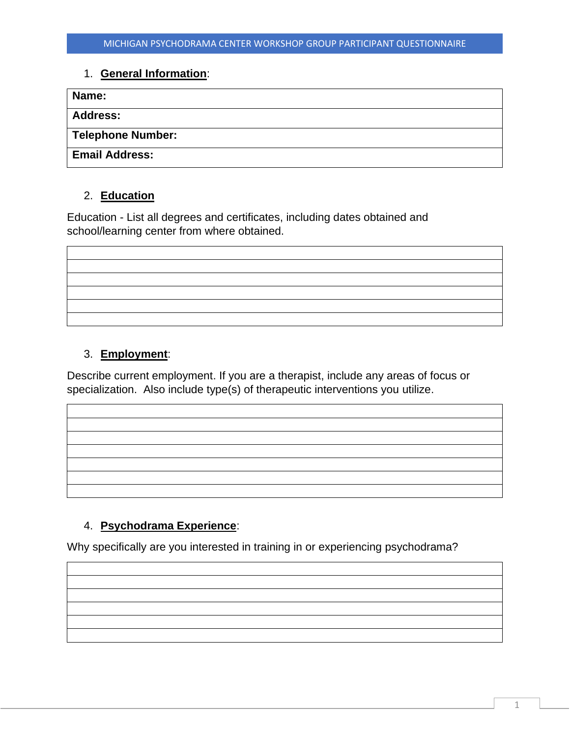## 1. **General Information**:

| Name:                 |  |
|-----------------------|--|
| <b>Address:</b>       |  |
| Telephone Number:     |  |
| <b>Email Address:</b> |  |

## 2. **Education**

Education - List all degrees and certificates, including dates obtained and school/learning center from where obtained.

## 3. **Employment**:

Describe current employment. If you are a therapist, include any areas of focus or specialization. Also include type(s) of therapeutic interventions you utilize.

## 4. **Psychodrama Experience**:

Why specifically are you interested in training in or experiencing psychodrama?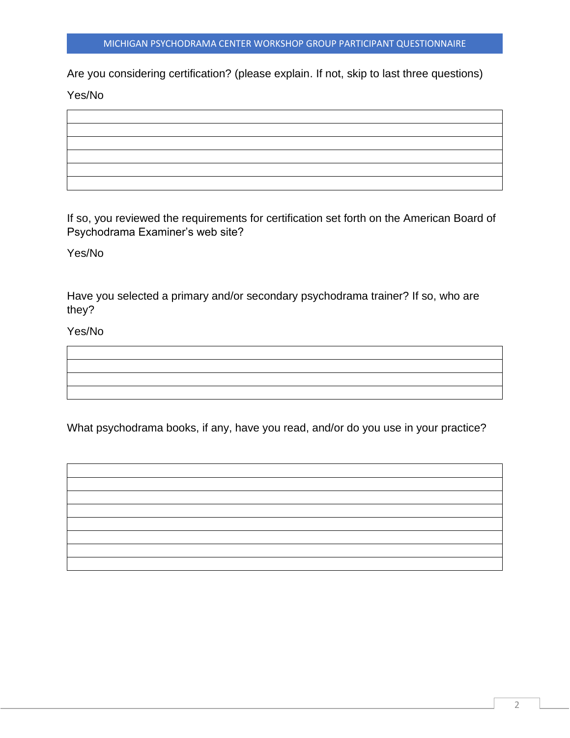Are you considering certification? (please explain. If not, skip to last three questions)

Yes/No



If so, you reviewed the requirements for certification set forth on the American Board of Psychodrama Examiner's web site?

Yes/No

Have you selected a primary and/or secondary psychodrama trainer? If so, who are they?

Yes/No

What psychodrama books, if any, have you read, and/or do you use in your practice?

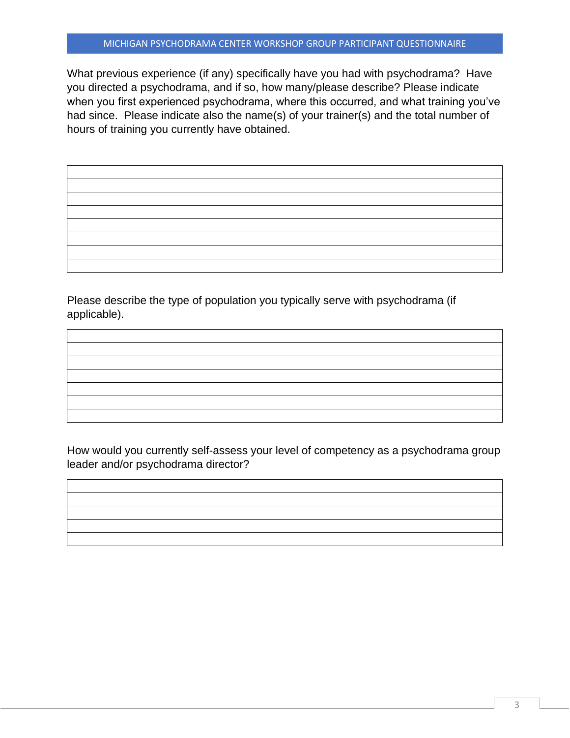What previous experience (if any) specifically have you had with psychodrama? Have you directed a psychodrama, and if so, how many/please describe? Please indicate when you first experienced psychodrama, where this occurred, and what training you've had since. Please indicate also the name(s) of your trainer(s) and the total number of hours of training you currently have obtained.

Please describe the type of population you typically serve with psychodrama (if applicable).

How would you currently self-assess your level of competency as a psychodrama group leader and/or psychodrama director?